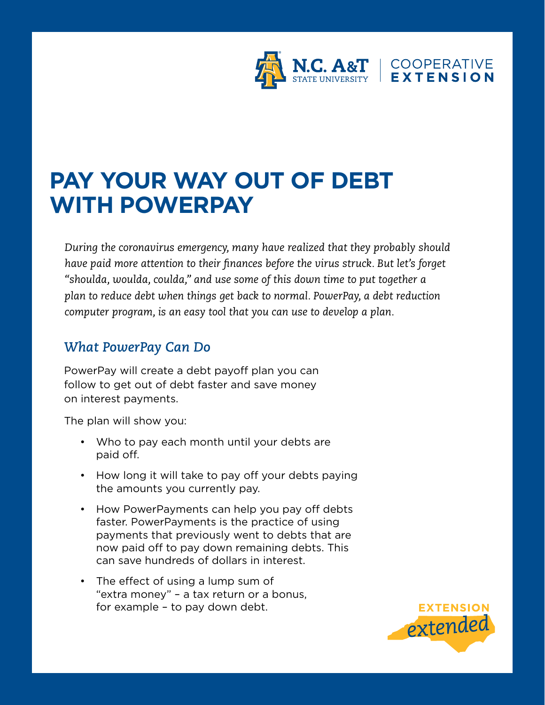

## **PAY YOUR WAY OUT OF DEBT WITH POWERPAY**

*During the coronavirus emergency, many have realized that they probably should have paid more attention to their finances before the virus struck. But let's forget "shoulda, woulda, coulda," and use some of this down time to put together a plan to reduce debt when things get back to normal. PowerPay, a debt reduction computer program, is an easy tool that you can use to develop a plan.*

## *What PowerPay Can Do*

PowerPay will create a debt payoff plan you can follow to get out of debt faster and save money on interest payments.

The plan will show you:

- Who to pay each month until your debts are paid off.
- How long it will take to pay off your debts paying the amounts you currently pay.
- How PowerPayments can help you pay off debts faster. PowerPayments is the practice of using payments that previously went to debts that are now paid off to pay down remaining debts. This can save hundreds of dollars in interest.
- The effect of using a lump sum of "extra money" – a tax return or a bonus, for example – to pay down debt.